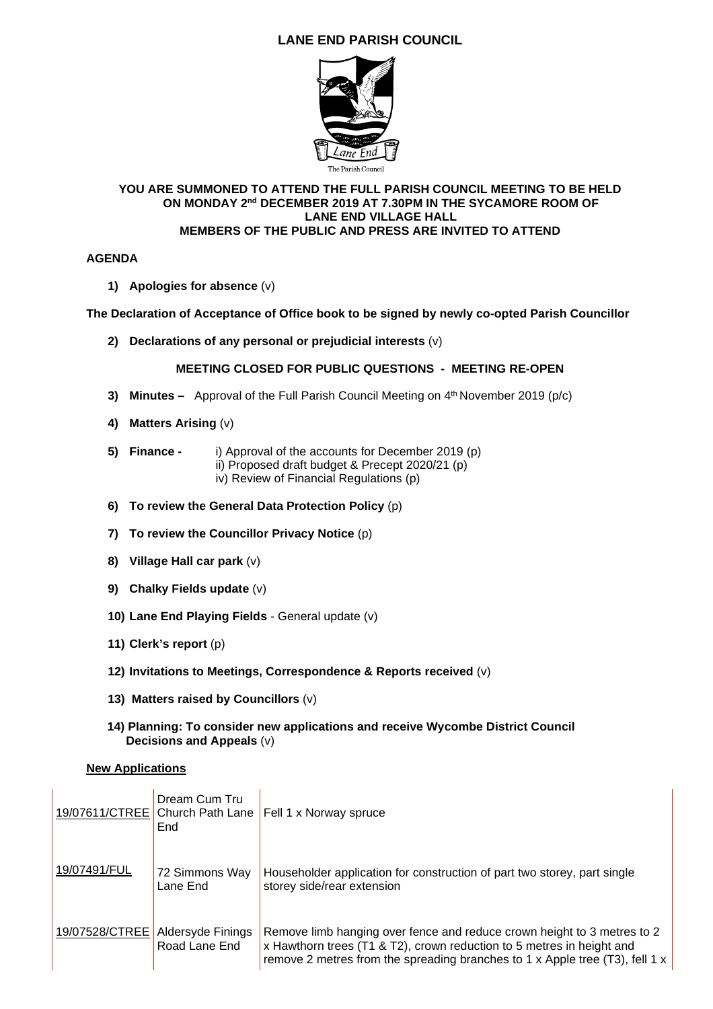# **LANE END PARISH COUNCIL**



#### **YOU ARE SUMMONED TO ATTEND THE FULL PARISH COUNCIL MEETING TO BE HELD ON MONDAY 2nd DECEMBER 2019 AT 7.30PM IN THE SYCAMORE ROOM OF LANE END VILLAGE HALL MEMBERS OF THE PUBLIC AND PRESS ARE INVITED TO ATTEND**

#### **AGENDA**

**1) Apologies for absence** (v)

## **The Declaration of Acceptance of Office book to be signed by newly co-opted Parish Councillor**

**2) Declarations of any personal or prejudicial interests** (v)

## **MEETING CLOSED FOR PUBLIC QUESTIONS - MEETING RE-OPEN**

- **3) Minutes –** Approval of the Full Parish Council Meeting on 4<sup>th</sup> November 2019 (p/c)
- **4) Matters Arising** (v)
- **5) Finance** i) Approval of the accounts for December 2019 (p) ii) Proposed draft budget & Precept 2020/21 (p)
	- iv) Review of Financial Regulations (p)
- **6) To review the General Data Protection Policy** (p)
- **7) To review the Councillor Privacy Notice** (p)
- **8) Village Hall car park** (v)
- **9) Chalky Fields update** (v)
- **10) Lane End Playing Fields** General update (v)
- **11) Clerk's report** (p)
- **12) Invitations to Meetings, Correspondence & Reports received** (v)
- **13) Matters raised by Councillors** (v)
- **14) Planning: To consider new applications and receive Wycombe District Council Decisions and Appeals** (v)

#### **New Applications**

|                | Dream Cum Tru<br>End               | 19/07611/CTREE Church Path Lane   Fell 1 x Norway spruce                                                                                                                                                                         |
|----------------|------------------------------------|----------------------------------------------------------------------------------------------------------------------------------------------------------------------------------------------------------------------------------|
| 19/07491/FUL   | 72 Simmons Way<br>Lane End         | Householder application for construction of part two storey, part single<br>storey side/rear extension                                                                                                                           |
| 19/07528/CTREE | Aldersyde Finings<br>Road Lane End | Remove limb hanging over fence and reduce crown height to 3 metres to 2<br>x Hawthorn trees (T1 & T2), crown reduction to 5 metres in height and<br>remove 2 metres from the spreading branches to 1 x Apple tree (T3), fell 1 x |